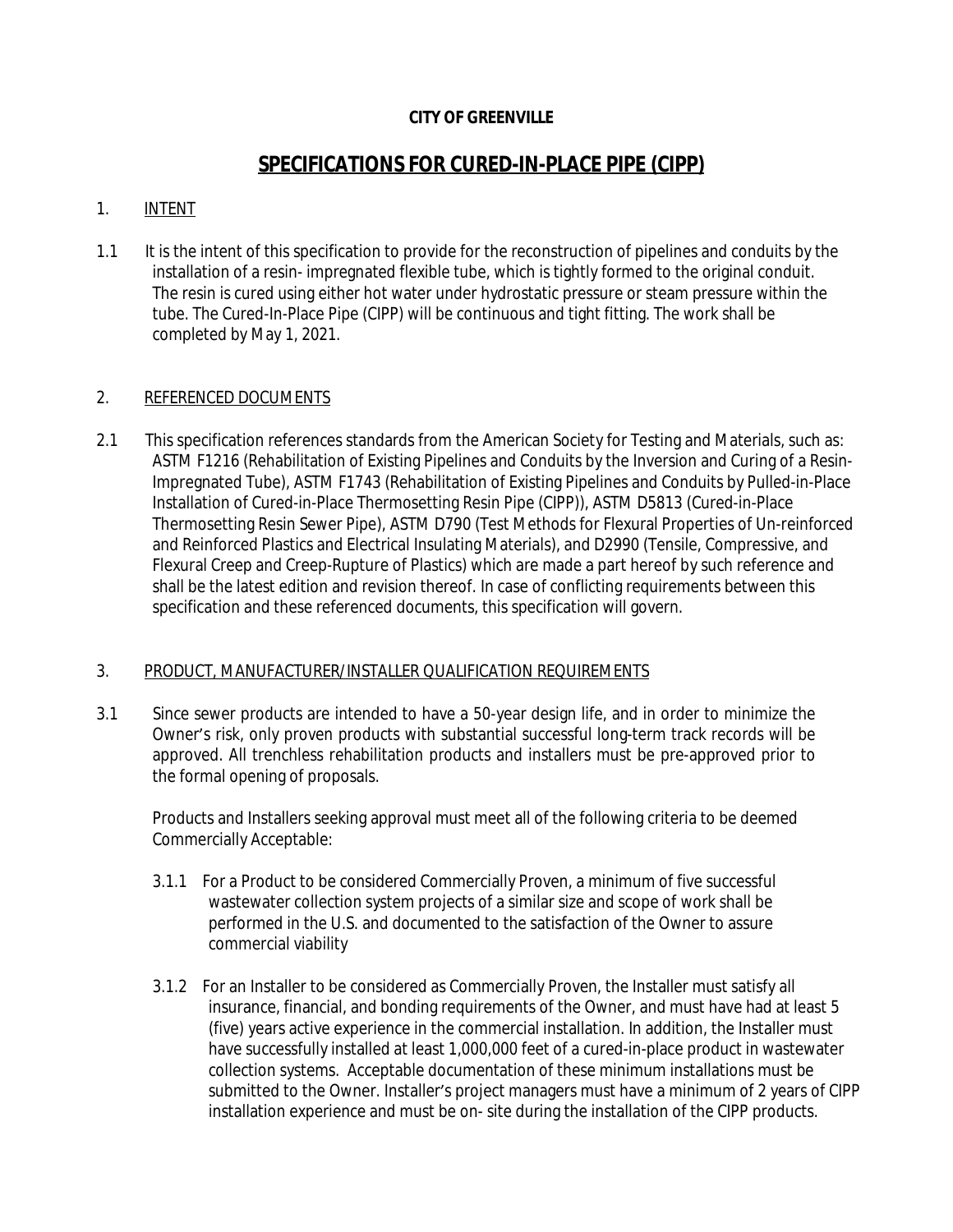#### **CITY OF GREENVILLE**

# **SPECIFICATIONS FOR CURED-IN-PLACE PIPE (CIPP)**

### 1. INTENT

1.1 It is the intent of this specification to provide for the reconstruction of pipelines and conduits by the installation of a resin- impregnated flexible tube, which is tightly formed to the original conduit. The resin is cured using either hot water under hydrostatic pressure or steam pressure within the tube. The Cured-In-Place Pipe (CIPP) will be continuous and tight fitting. The work shall be completed by May 1, 2021.

#### 2. REFERENCED DOCUMENTS

2.1 This specification references standards from the American Society for Testing and Materials, such as: ASTM F1216 (Rehabilitation of Existing Pipelines and Conduits by the Inversion and Curing of a Resin-Impregnated Tube), ASTM F1743 (Rehabilitation of Existing Pipelines and Conduits by Pulled-in-Place Installation of Cured-in-Place Thermosetting Resin Pipe (CIPP)), ASTM D5813 (Cured-in-Place Thermosetting Resin Sewer Pipe), ASTM D790 (Test Methods for Flexural Properties of Un-reinforced and Reinforced Plastics and Electrical Insulating Materials), and D2990 (Tensile, Compressive, and Flexural Creep and Creep-Rupture of Plastics) which are made a part hereof by such reference and shall be the latest edition and revision thereof. In case of conflicting requirements between this specification and these referenced documents, this specification will govern.

#### 3. PRODUCT, MANUFACTURER/INSTALLER QUALIFICATION REQUIREMENTS

3.1 Since sewer products are intended to have a 50-year design life, and in order to minimize the Owner's risk, only proven products with substantial successful long-term track records will be approved. All trenchless rehabilitation products and installers must be pre-approved prior to the formal opening of proposals.

Products and Installers seeking approval must meet all of the following criteria to be deemed Commercially Acceptable:

- 3.1.1 For a Product to be considered Commercially Proven, a minimum of five successful wastewater collection system projects of a similar size and scope of work shall be performed in the U.S. and documented to the satisfaction of the Owner to assure commercial viability
- 3.1.2 For an Installer to be considered as Commercially Proven, the Installer must satisfy all insurance, financial, and bonding requirements of the Owner, and must have had at least 5 (five) years active experience in the commercial installation. In addition, the Installer must have successfully installed at least 1,000,000 feet of a cured-in-place product in wastewater collection systems. Acceptable documentation of these minimum installations must be submitted to the Owner. Installer's project managers must have a minimum of 2 years of CIPP installation experience and must be on- site during the installation of the CIPP products.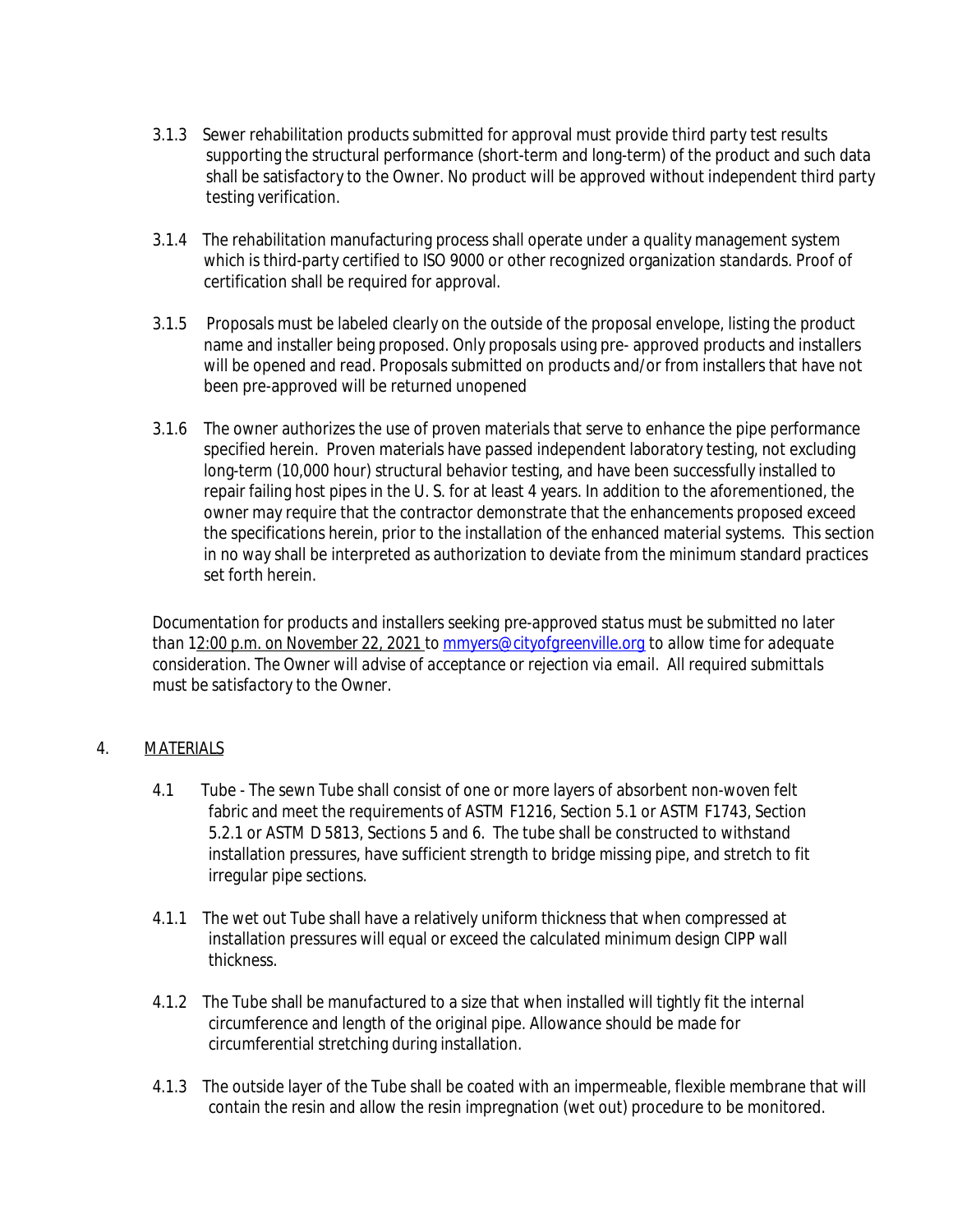- 3.1.3 Sewer rehabilitation products submitted for approval must provide third party test results supporting the structural performance (short-term and long-term) of the product and such data shall be satisfactory to the Owner. No product will be approved without independent third party testing verification.
- 3.1.4 The rehabilitation manufacturing process shall operate under a quality management system which is third-party certified to ISO 9000 or other recognized organization standards. Proof of certification shall be required for approval.
- 3.1.5 Proposals must be labeled clearly on the outside of the proposal envelope, listing the product name and installer being proposed. Only proposals using pre- approved products and installers will be opened and read. Proposals submitted on products and/or from installers that have not been pre-approved will be returned unopened
- 3.1.6 The owner authorizes the use of proven materials that serve to enhance the pipe performance specified herein. Proven materials have passed independent laboratory testing, not excluding long-term (10,000 hour) structural behavior testing, and have been successfully installed to repair failing host pipes in the U. S. for at least 4 years. In addition to the aforementioned, the owner may require that the contractor demonstrate that the enhancements proposed exceed the specifications herein, prior to the installation of the enhanced material systems. This section in no way shall be interpreted as authorization to deviate from the minimum standard practices set forth herein.

*Documentation for products and installers seeking pre-approved status must be submitted no later than 12:00 p.m. on November 22, 2021 to [mmyers@cityofgreenville.org](mailto:mmyers@cityofgreenville.org) to allow time for adequate consideration. The Owner will advise of acceptance or rejection via email. All required submittals must be satisfactory to the Owner.*

### 4. MATERIALS

- 4.1 Tube The sewn Tube shall consist of one or more layers of absorbent non-woven felt fabric and meet the requirements of ASTM F1216, Section 5.1 or ASTM F1743, Section 5.2.1 or ASTM D 5813, Sections 5 and 6. The tube shall be constructed to withstand installation pressures, have sufficient strength to bridge missing pipe, and stretch to fit irregular pipe sections.
- 4.1.1 The wet out Tube shall have a relatively uniform thickness that when compressed at installation pressures will equal or exceed the calculated minimum design CIPP wall thickness.
- 4.1.2 The Tube shall be manufactured to a size that when installed will tightly fit the internal circumference and length of the original pipe. Allowance should be made for circumferential stretching during installation.
- 4.1.3 The outside layer of the Tube shall be coated with an impermeable, flexible membrane that will contain the resin and allow the resin impregnation (wet out) procedure to be monitored.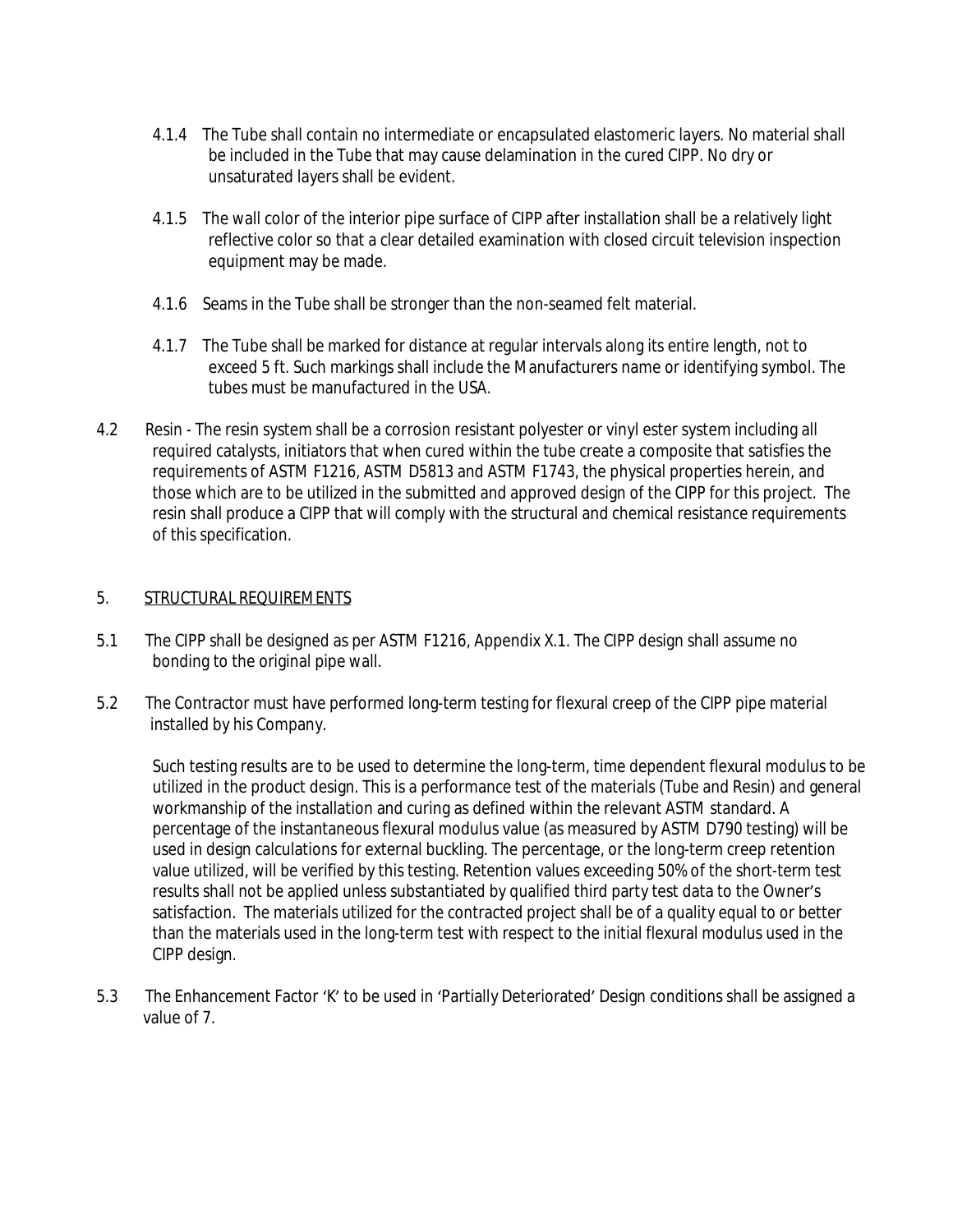- 4.1.4 The Tube shall contain no intermediate or encapsulated elastomeric layers. No material shall be included in the Tube that may cause delamination in the cured CIPP. No dry or unsaturated layers shall be evident.
- 4.1.5 The wall color of the interior pipe surface of CIPP after installation shall be a relatively light reflective color so that a clear detailed examination with closed circuit television inspection equipment may be made.
- 4.1.6 Seams in the Tube shall be stronger than the non-seamed felt material.
- 4.1.7 The Tube shall be marked for distance at regular intervals along its entire length, not to exceed 5 ft. Such markings shall include the Manufacturers name or identifying symbol. The tubes must be manufactured in the USA.
- 4.2 Resin The resin system shall be a corrosion resistant polyester or vinyl ester system including all required catalysts, initiators that when cured within the tube create a composite that satisfies the requirements of ASTM F1216, ASTM D5813 and ASTM F1743, the physical properties herein, and those which are to be utilized in the submitted and approved design of the CIPP for this project. The resin shall produce a CIPP that will comply with the structural and chemical resistance requirements of this specification.

# 5. STRUCTURAL REQUIREMENTS

- 5.1 The CIPP shall be designed as per ASTM F1216, Appendix X.1. The CIPP design shall assume no bonding to the original pipe wall.
- 5.2 The Contractor must have performed long-term testing for flexural creep of the CIPP pipe material installed by his Company.

Such testing results are to be used to determine the long-term, time dependent flexural modulus to be utilized in the product design. This is a performance test of the materials (Tube and Resin) and general workmanship of the installation and curing as defined within the relevant ASTM standard. A percentage of the instantaneous flexural modulus value (as measured by ASTM D790 testing) will be used in design calculations for external buckling. The percentage, or the long-term creep retention value utilized, will be verified by this testing. Retention values exceeding 50% of the short-term test results shall not be applied unless substantiated by qualified third party test data to the Owner's satisfaction. The materials utilized for the contracted project shall be of a quality equal to or better than the materials used in the long-term test with respect to the initial flexural modulus used in the CIPP design.

5.3 The Enhancement Factor 'K' to be used in 'Partially Deteriorated' Design conditions shall be assigned a value of 7.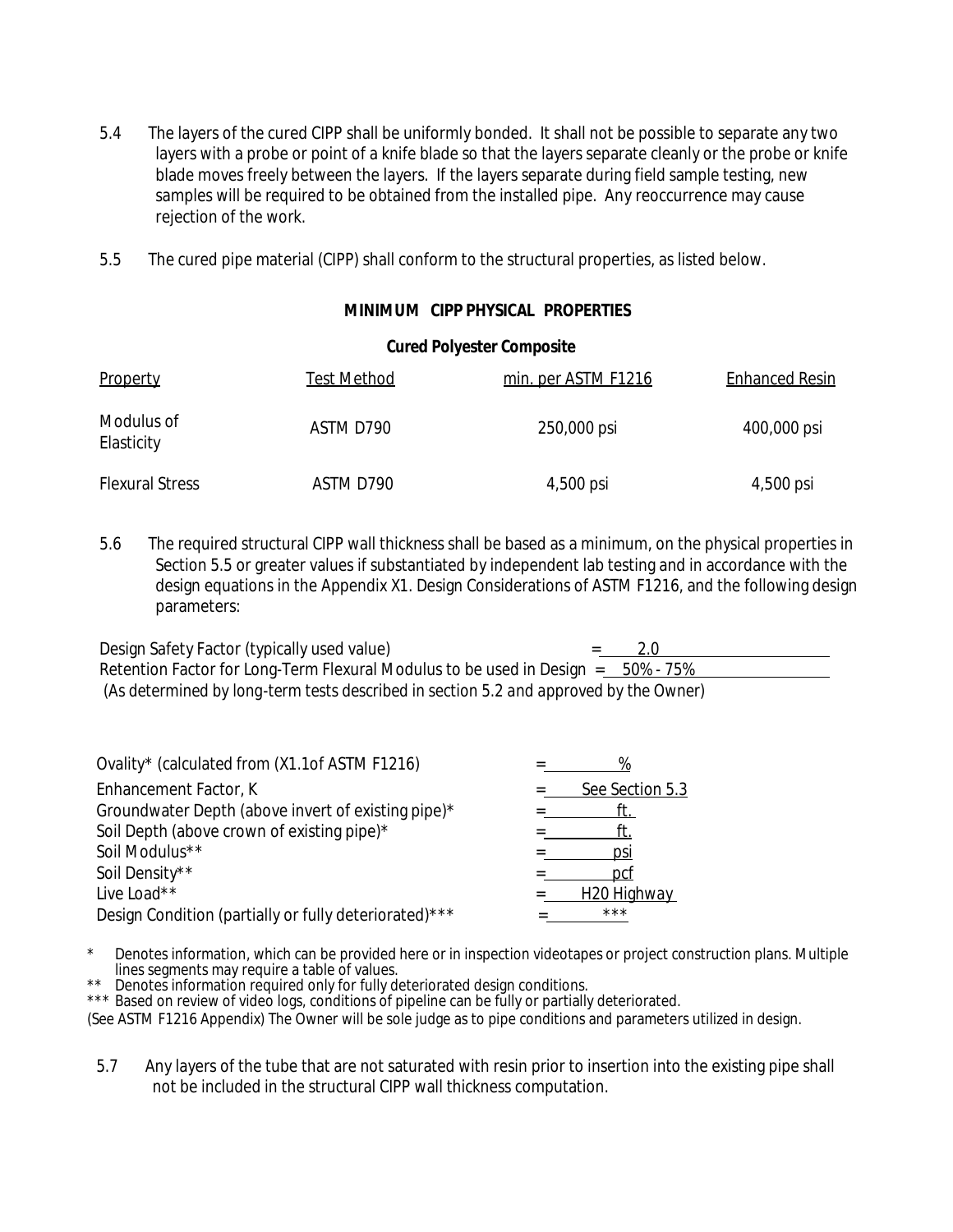- 5.4 The layers of the cured CIPP shall be uniformly bonded. It shall not be possible to separate any two layers with a probe or point of a knife blade so that the layers separate cleanly or the probe or knife blade moves freely between the layers. If the layers separate during field sample testing, new samples will be required to be obtained from the installed pipe. Any reoccurrence may cause rejection of the work.
- 5.5 The cured pipe material (CIPP) shall conform to the structural properties, as listed below.

| IVIIIVIVIUIVI VII I I I I JIVAL I INJI LINI ILJ |                    |                     |                       |  |
|-------------------------------------------------|--------------------|---------------------|-----------------------|--|
| <b>Cured Polyester Composite</b>                |                    |                     |                       |  |
| Property                                        | <b>Test Method</b> | min. per ASTM F1216 | <b>Enhanced Resin</b> |  |
| Modulus of<br>Elasticity                        | ASTM D790          | 250,000 psi         | 400,000 psi           |  |
| <b>Flexural Stress</b>                          | ASTM D790          | 4,500 psi           | 4,500 psi             |  |

**MINIMUM CIPP PHYSICAL PROPERTIES**

5.6 The required structural CIPP wall thickness shall be based as a minimum, on the physical properties in Section 5.5 or greater values if substantiated by independent lab testing and in accordance with the design equations in the Appendix X1. Design Considerations of ASTM F1216, and the following design parameters:

Design Safety Factor (typically used value)  $=$  2.0 Retention Factor for Long-Term Flexural Modulus to be used in Design = 50% - 75% (*As determined by long-term tests described in section 5.2 and approved by the Owner*)

| Ovality* (calculated from (X1.1of ASTM F1216)         | %                       |
|-------------------------------------------------------|-------------------------|
| Enhancement Factor, K                                 | See Section 5.3         |
| Groundwater Depth (above invert of existing pipe)*    | ft.                     |
| Soil Depth (above crown of existing pipe)*            | ft.                     |
| Soil Modulus**                                        | psi                     |
| Soil Density**                                        | pcf                     |
| Live Load**                                           | H <sub>20</sub> Highway |
| Design Condition (partially or fully deteriorated)*** | $***$                   |

Denotes information, which can be provided here or in inspection videotapes or project construction plans. Multiple lines segments may require a table of values.

\*\* Denotes information required only for fully deteriorated design conditions.

\*\*\* Based on review of video logs, conditions of pipeline can be fully or partially deteriorated.

(See ASTM F1216 Appendix) The Owner will be sole judge as to pipe conditions and parameters utilized in design.

5.7 Any layers of the tube that are not saturated with resin prior to insertion into the existing pipe shall not be included in the structural CIPP wall thickness computation.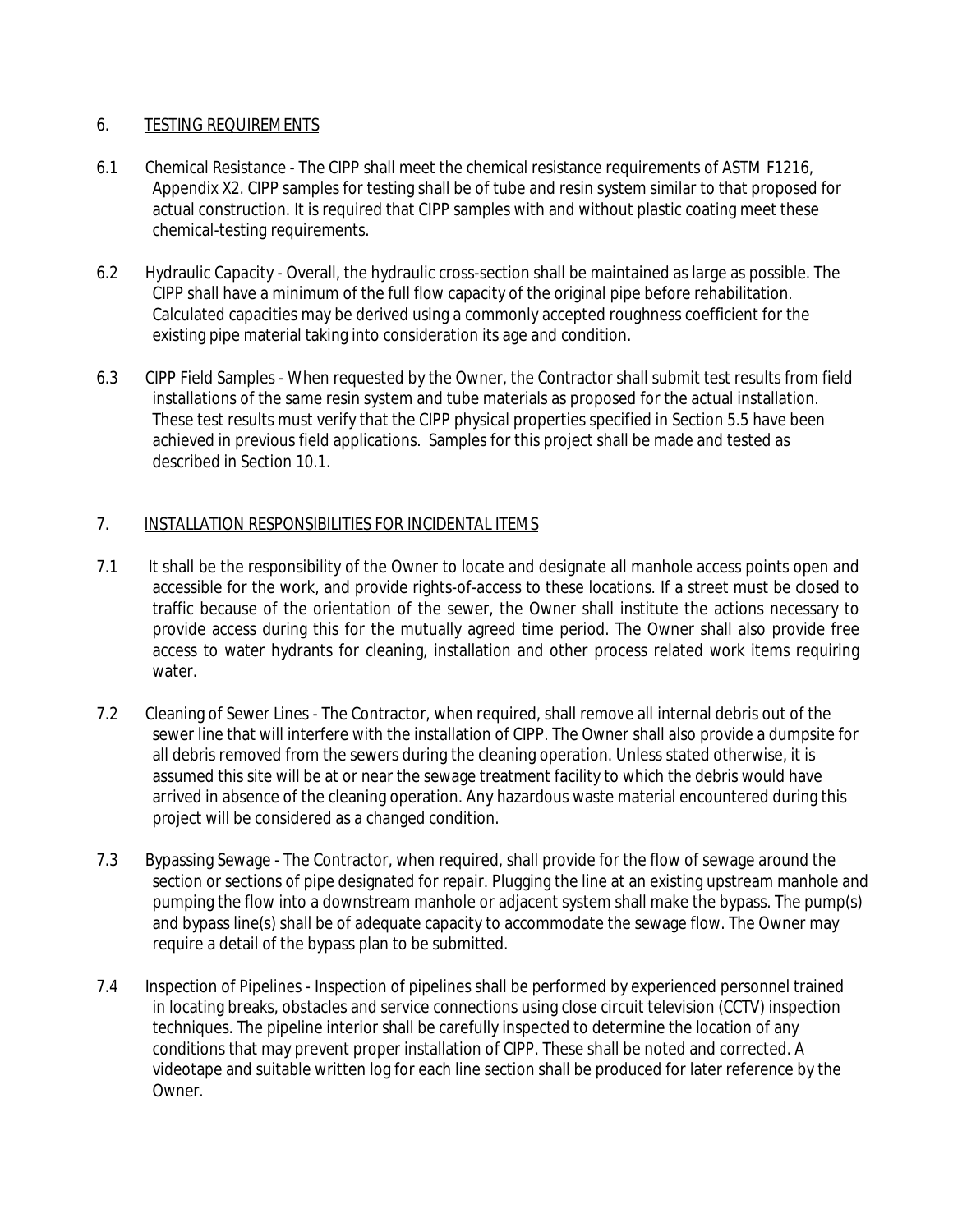# 6. TESTING REQUIREMENTS

- 6.1 Chemical Resistance The CIPP shall meet the chemical resistance requirements of ASTM F1216, Appendix X2. CIPP samples for testing shall be of tube and resin system similar to that proposed for actual construction. It is required that CIPP samples with and without plastic coating meet these chemical-testing requirements.
- 6.2 Hydraulic Capacity Overall, the hydraulic cross-section shall be maintained as large as possible. The CIPP shall have a minimum of the full flow capacity of the original pipe before rehabilitation. Calculated capacities may be derived using a commonly accepted roughness coefficient for the existing pipe material taking into consideration its age and condition.
- 6.3 CIPP Field Samples When requested by the Owner, the Contractor shall submit test results from field installations of the same resin system and tube materials as proposed for the actual installation. These test results must verify that the CIPP physical properties specified in Section 5.5 have been achieved in previous field applications. Samples for this project shall be made and tested as described in Section 10.1.

# 7. INSTALLATION RESPONSIBILITIES FOR INCIDENTAL ITEMS

- 7.1 It shall be the responsibility of the Owner to locate and designate all manhole access points open and accessible for the work, and provide rights-of-access to these locations. If a street must be closed to traffic because of the orientation of the sewer, the Owner shall institute the actions necessary to provide access during this for the mutually agreed time period. The Owner shall also provide free access to water hydrants for cleaning, installation and other process related work items requiring water.
- 7.2 Cleaning of Sewer Lines The Contractor, when required, shall remove all internal debris out of the sewer line that will interfere with the installation of CIPP. The Owner shall also provide a dumpsite for all debris removed from the sewers during the cleaning operation. Unless stated otherwise, it is assumed this site will be at or near the sewage treatment facility to which the debris would have arrived in absence of the cleaning operation. Any hazardous waste material encountered during this project will be considered as a changed condition.
- 7.3 Bypassing Sewage The Contractor, when required, shall provide for the flow of sewage around the section or sections of pipe designated for repair. Plugging the line at an existing upstream manhole and pumping the flow into a downstream manhole or adjacent system shall make the bypass. The pump(s) and bypass line(s) shall be of adequate capacity to accommodate the sewage flow. The Owner may require a detail of the bypass plan to be submitted.
- 7.4 Inspection of Pipelines Inspection of pipelines shall be performed by experienced personnel trained in locating breaks, obstacles and service connections using close circuit television (CCTV) inspection techniques. The pipeline interior shall be carefully inspected to determine the location of any conditions that may prevent proper installation of CIPP. These shall be noted and corrected. A videotape and suitable written log for each line section shall be produced for later reference by the Owner.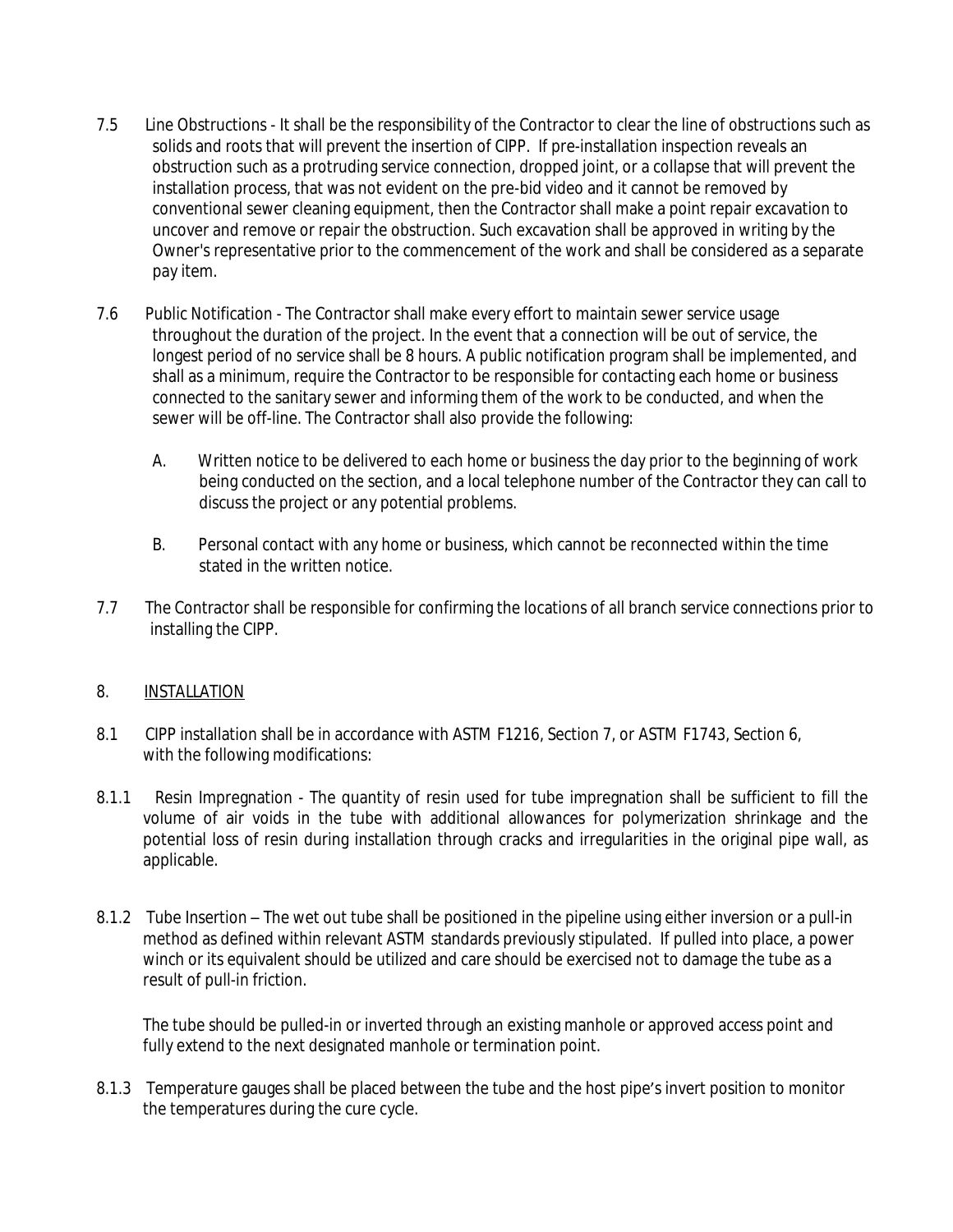- 7.5 Line Obstructions It shall be the responsibility of the Contractor to clear the line of obstructions such as solids and roots that will prevent the insertion of CIPP. If pre-installation inspection reveals an obstruction such as a protruding service connection, dropped joint, or a collapse that will prevent the installation process, that was not evident on the pre-bid video and it cannot be removed by conventional sewer cleaning equipment, then the Contractor shall make a point repair excavation to uncover and remove or repair the obstruction. Such excavation shall be approved in writing by the Owner's representative prior to the commencement of the work and shall be considered as a separate pay item.
- 7.6 Public Notification The Contractor shall make every effort to maintain sewer service usage throughout the duration of the project. In the event that a connection will be out of service, the longest period of no service shall be 8 hours. A public notification program shall be implemented, and shall as a minimum, require the Contractor to be responsible for contacting each home or business connected to the sanitary sewer and informing them of the work to be conducted, and when the sewer will be off-line. The Contractor shall also provide the following:
	- A. Written notice to be delivered to each home or business the day prior to the beginning of work being conducted on the section, and a local telephone number of the Contractor they can call to discuss the project or any potential problems.
	- B. Personal contact with any home or business, which cannot be reconnected within the time stated in the written notice.
- 7.7 The Contractor shall be responsible for confirming the locations of all branch service connections prior to installing the CIPP.

### 8. INSTALLATION

- 8.1 CIPP installation shall be in accordance with ASTM F1216, Section 7, or ASTM F1743, Section 6, with the following modifications:
- 8.1.1 Resin Impregnation The quantity of resin used for tube impregnation shall be sufficient to fill the volume of air voids in the tube with additional allowances for polymerization shrinkage and the potential loss of resin during installation through cracks and irregularities in the original pipe wall, as applicable.
- 8.1.2 Tube Insertion The wet out tube shall be positioned in the pipeline using either inversion or a pull-in method as defined within relevant ASTM standards previously stipulated. If pulled into place, a power winch or its equivalent should be utilized and care should be exercised not to damage the tube as a result of pull-in friction.

The tube should be pulled-in or inverted through an existing manhole or approved access point and fully extend to the next designated manhole or termination point.

8.1.3 Temperature gauges shall be placed between the tube and the host pipe's invert position to monitor the temperatures during the cure cycle.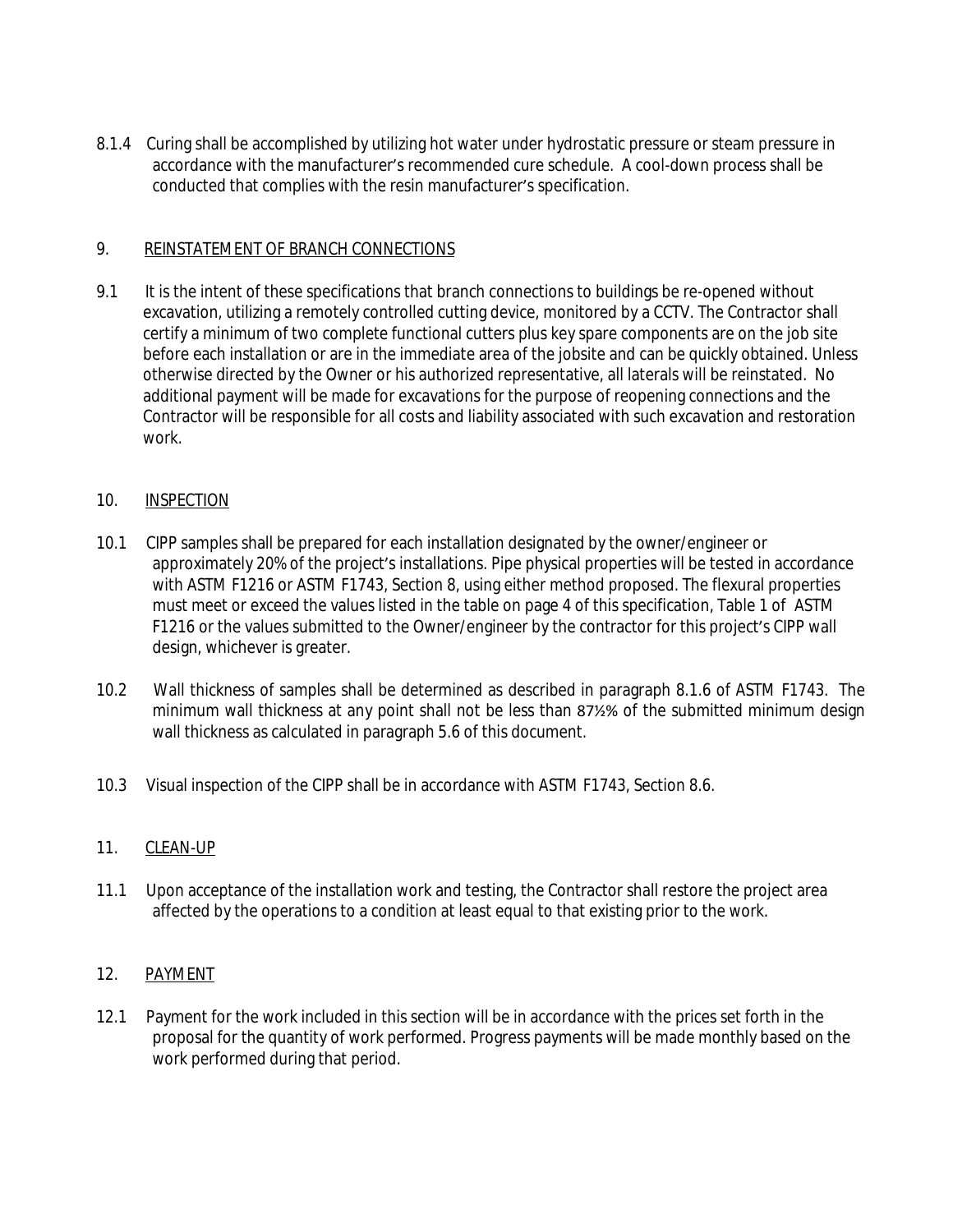8.1.4 Curing shall be accomplished by utilizing hot water under hydrostatic pressure or steam pressure in accordance with the manufacturer's recommended cure schedule. A cool-down process shall be conducted that complies with the resin manufacturer's specification.

## 9. REINSTATEMENT OF BRANCH CONNECTIONS

9.1 It is the intent of these specifications that branch connections to buildings be re-opened without excavation, utilizing a remotely controlled cutting device, monitored by a CCTV. The Contractor shall certify a minimum of two complete functional cutters plus key spare components are on the job site before each installation or are in the immediate area of the jobsite and can be quickly obtained. Unless otherwise directed by the Owner or his authorized representative, all laterals will be reinstated. No additional payment will be made for excavations for the purpose of reopening connections and the Contractor will be responsible for all costs and liability associated with such excavation and restoration work.

# 10. INSPECTION

- 10.1 CIPP samples shall be prepared for each installation designated by the owner/engineer or approximately 20% of the project's installations. Pipe physical properties will be tested in accordance with ASTM F1216 or ASTM F1743, Section 8, using either method proposed. The flexural properties must meet or exceed the values listed in the table on page 4 of this specification, Table 1 of ASTM F1216 or the values submitted to the Owner/engineer by the contractor for this project's CIPP wall design, whichever is greater.
- 10.2 Wall thickness of samples shall be determined as described in paragraph 8.1.6 of ASTM F1743. The minimum wall thickness at any point shall not be less than 87½% of the submitted minimum design wall thickness as calculated in paragraph 5.6 of this document.
- 10.3 Visual inspection of the CIPP shall be in accordance with ASTM F1743, Section 8.6.

# 11. CLEAN-UP

11.1 Upon acceptance of the installation work and testing, the Contractor shall restore the project area affected by the operations to a condition at least equal to that existing prior to the work.

# 12. PAYMENT

12.1 Payment for the work included in this section will be in accordance with the prices set forth in the proposal for the quantity of work performed. Progress payments will be made monthly based on the work performed during that period.